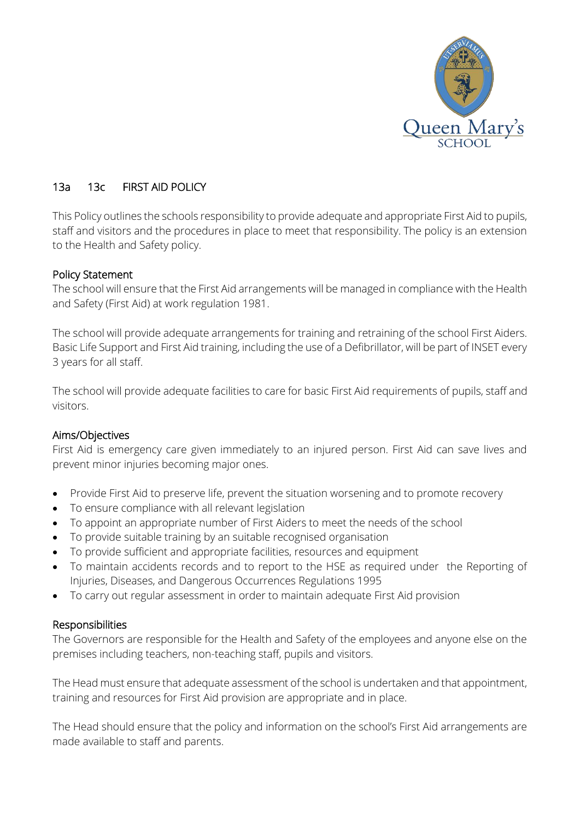

# 13a 13c FIRST AID POLICY

This Policy outlines the schools responsibility to provide adequate and appropriate First Aid to pupils, staff and visitors and the procedures in place to meet that responsibility. The policy is an extension to the Health and Safety policy.

## Policy Statement

The school will ensure that the First Aid arrangements will be managed in compliance with the Health and Safety (First Aid) at work regulation 1981.

The school will provide adequate arrangements for training and retraining of the school First Aiders. Basic Life Support and First Aid training, including the use of a Defibrillator, will be part of INSET every 3 years for all staff.

The school will provide adequate facilities to care for basic First Aid requirements of pupils, staff and visitors.

## Aims/Objectives

First Aid is emergency care given immediately to an injured person. First Aid can save lives and prevent minor injuries becoming major ones.

- Provide First Aid to preserve life, prevent the situation worsening and to promote recovery
- To ensure compliance with all relevant legislation
- To appoint an appropriate number of First Aiders to meet the needs of the school
- To provide suitable training by an suitable recognised organisation
- To provide sufficient and appropriate facilities, resources and equipment
- To maintain accidents records and to report to the HSE as required under the Reporting of Injuries, Diseases, and Dangerous Occurrences Regulations 1995
- To carry out regular assessment in order to maintain adequate First Aid provision

## Responsibilities

The Governors are responsible for the Health and Safety of the employees and anyone else on the premises including teachers, non-teaching staff, pupils and visitors.

The Head must ensure that adequate assessment of the school is undertaken and that appointment, training and resources for First Aid provision are appropriate and in place.

The Head should ensure that the policy and information on the school's First Aid arrangements are made available to staff and parents.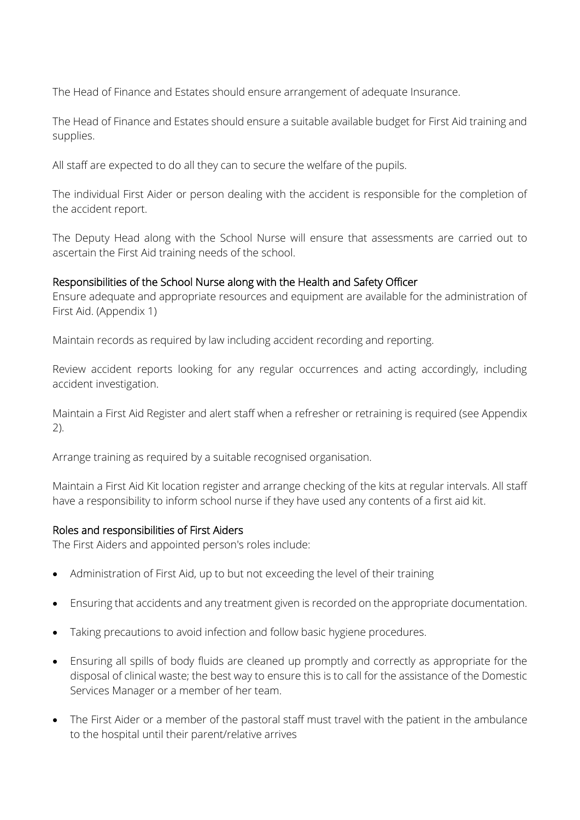The Head of Finance and Estates should ensure arrangement of adequate Insurance.

The Head of Finance and Estates should ensure a suitable available budget for First Aid training and supplies.

All staff are expected to do all they can to secure the welfare of the pupils.

The individual First Aider or person dealing with the accident is responsible for the completion of the accident report.

The Deputy Head along with the School Nurse will ensure that assessments are carried out to ascertain the First Aid training needs of the school.

## Responsibilities of the School Nurse along with the Health and Safety Officer

Ensure adequate and appropriate resources and equipment are available for the administration of First Aid. (Appendix 1)

Maintain records as required by law including accident recording and reporting.

Review accident reports looking for any regular occurrences and acting accordingly, including accident investigation.

Maintain a First Aid Register and alert staff when a refresher or retraining is required (see Appendix 2).

Arrange training as required by a suitable recognised organisation.

Maintain a First Aid Kit location register and arrange checking of the kits at regular intervals. All staff have a responsibility to inform school nurse if they have used any contents of a first aid kit.

## Roles and responsibilities of First Aiders

The First Aiders and appointed person's roles include:

- Administration of First Aid, up to but not exceeding the level of their training
- Ensuring that accidents and any treatment given is recorded on the appropriate documentation.
- Taking precautions to avoid infection and follow basic hygiene procedures.
- Ensuring all spills of body fluids are cleaned up promptly and correctly as appropriate for the disposal of clinical waste; the best way to ensure this is to call for the assistance of the Domestic Services Manager or a member of her team.
- The First Aider or a member of the pastoral staff must travel with the patient in the ambulance to the hospital until their parent/relative arrives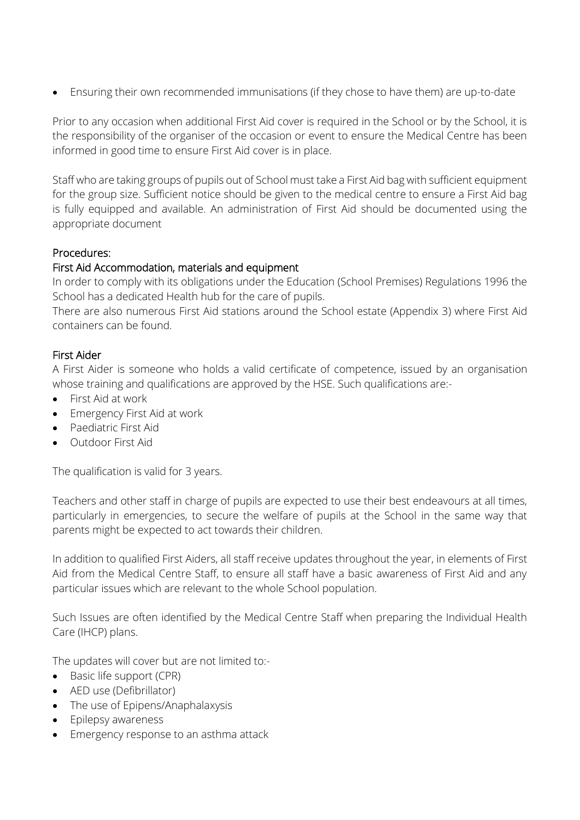Ensuring their own recommended immunisations (if they chose to have them) are up-to-date

Prior to any occasion when additional First Aid cover is required in the School or by the School, it is the responsibility of the organiser of the occasion or event to ensure the Medical Centre has been informed in good time to ensure First Aid cover is in place.

Staff who are taking groups of pupils out of School must take a First Aid bag with sufficient equipment for the group size. Sufficient notice should be given to the medical centre to ensure a First Aid bag is fully equipped and available. An administration of First Aid should be documented using the appropriate document

# Procedures:

# First Aid Accommodation, materials and equipment

In order to comply with its obligations under the Education (School Premises) Regulations 1996 the School has a dedicated Health hub for the care of pupils.

There are also numerous First Aid stations around the School estate (Appendix 3) where First Aid containers can be found.

# First Aider

A First Aider is someone who holds a valid certificate of competence, issued by an organisation whose training and qualifications are approved by the HSE. Such qualifications are:-

- First Aid at work
- **Emergency First Aid at work**
- Paediatric First Aid
- Outdoor First Aid

The qualification is valid for 3 years.

Teachers and other staff in charge of pupils are expected to use their best endeavours at all times, particularly in emergencies, to secure the welfare of pupils at the School in the same way that parents might be expected to act towards their children.

In addition to qualified First Aiders, all staff receive updates throughout the year, in elements of First Aid from the Medical Centre Staff, to ensure all staff have a basic awareness of First Aid and any particular issues which are relevant to the whole School population.

Such Issues are often identified by the Medical Centre Staff when preparing the Individual Health Care (IHCP) plans.

The updates will cover but are not limited to:-

- Basic life support (CPR)
- AED use (Defibrillator)
- The use of Epipens/Anaphalaxysis
- Epilepsy awareness
- Emergency response to an asthma attack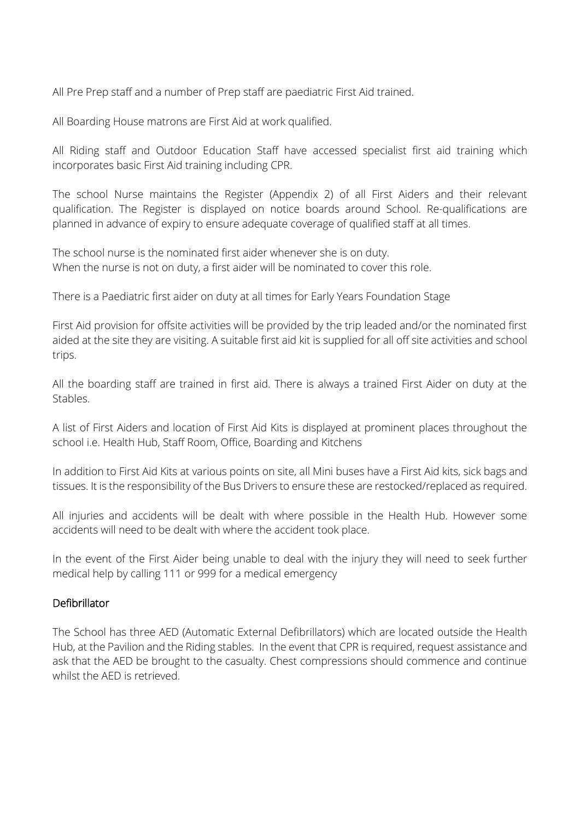All Pre Prep staff and a number of Prep staff are paediatric First Aid trained.

All Boarding House matrons are First Aid at work qualified.

All Riding staff and Outdoor Education Staff have accessed specialist first aid training which incorporates basic First Aid training including CPR.

The school Nurse maintains the Register (Appendix 2) of all First Aiders and their relevant qualification. The Register is displayed on notice boards around School. Re-qualifications are planned in advance of expiry to ensure adequate coverage of qualified staff at all times.

The school nurse is the nominated first aider whenever she is on duty. When the nurse is not on duty, a first aider will be nominated to cover this role.

There is a Paediatric first aider on duty at all times for Early Years Foundation Stage

First Aid provision for offsite activities will be provided by the trip leaded and/or the nominated first aided at the site they are visiting. A suitable first aid kit is supplied for all off site activities and school trips.

All the boarding staff are trained in first aid. There is always a trained First Aider on duty at the Stables.

A list of First Aiders and location of First Aid Kits is displayed at prominent places throughout the school i.e. Health Hub, Staff Room, Office, Boarding and Kitchens

In addition to First Aid Kits at various points on site, all Mini buses have a First Aid kits, sick bags and tissues. It is the responsibility of the Bus Drivers to ensure these are restocked/replaced as required.

All injuries and accidents will be dealt with where possible in the Health Hub. However some accidents will need to be dealt with where the accident took place.

In the event of the First Aider being unable to deal with the injury they will need to seek further medical help by calling 111 or 999 for a medical emergency

# Defibrillator

The School has three AED (Automatic External Defibrillators) which are located outside the Health Hub, at the Pavilion and the Riding stables. In the event that CPR is required, request assistance and ask that the AED be brought to the casualty. Chest compressions should commence and continue whilst the AED is retrieved.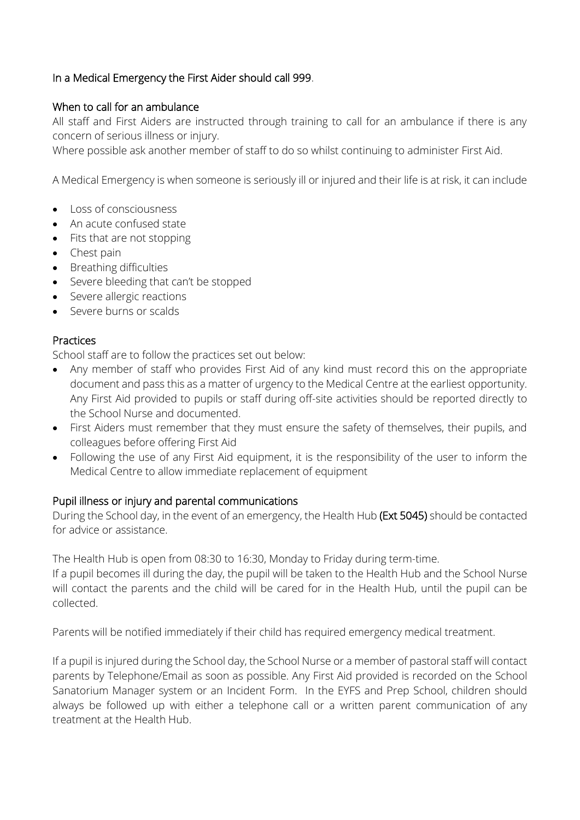# In a Medical Emergency the First Aider should call 999.

## When to call for an ambulance

All staff and First Aiders are instructed through training to call for an ambulance if there is any concern of serious illness or injury.

Where possible ask another member of staff to do so whilst continuing to administer First Aid.

A Medical Emergency is when someone is seriously ill or injured and their life is at risk, it can include

- Loss of consciousness
- An acute confused state
- Fits that are not stopping
- Chest pain
- Breathing difficulties
- Severe bleeding that can't be stopped
- Severe allergic reactions
- Severe burns or scalds

## Practices

School staff are to follow the practices set out below:

- Any member of staff who provides First Aid of any kind must record this on the appropriate document and pass this as a matter of urgency to the Medical Centre at the earliest opportunity. Any First Aid provided to pupils or staff during off-site activities should be reported directly to the School Nurse and documented.
- First Aiders must remember that they must ensure the safety of themselves, their pupils, and colleagues before offering First Aid
- Following the use of any First Aid equipment, it is the responsibility of the user to inform the Medical Centre to allow immediate replacement of equipment

## Pupil illness or injury and parental communications

During the School day, in the event of an emergency, the Health Hub (Ext 5045) should be contacted for advice or assistance.

The Health Hub is open from 08:30 to 16:30, Monday to Friday during term-time.

If a pupil becomes ill during the day, the pupil will be taken to the Health Hub and the School Nurse will contact the parents and the child will be cared for in the Health Hub, until the pupil can be collected.

Parents will be notified immediately if their child has required emergency medical treatment.

If a pupil is injured during the School day, the School Nurse or a member of pastoral staff will contact parents by Telephone/Email as soon as possible. Any First Aid provided is recorded on the School Sanatorium Manager system or an Incident Form. In the EYFS and Prep School, children should always be followed up with either a telephone call or a written parent communication of any treatment at the Health Hub.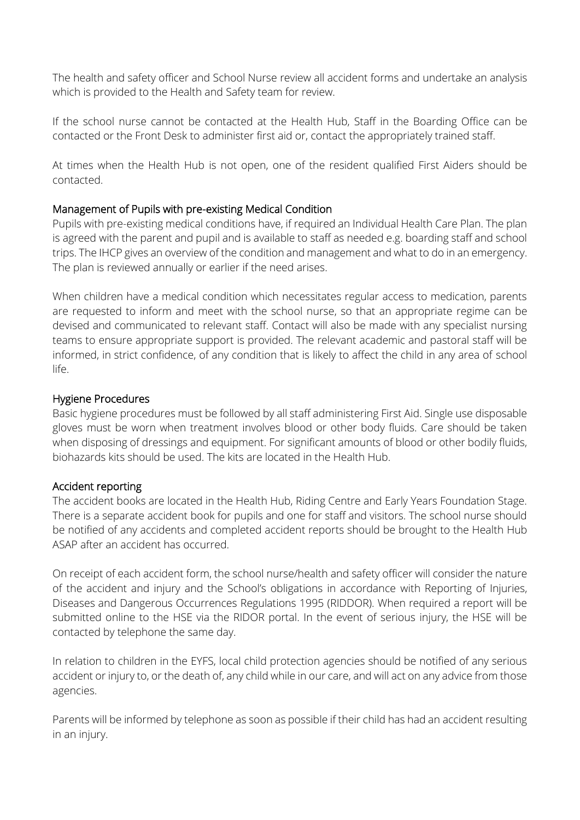The health and safety officer and School Nurse review all accident forms and undertake an analysis which is provided to the Health and Safety team for review.

If the school nurse cannot be contacted at the Health Hub, Staff in the Boarding Office can be contacted or the Front Desk to administer first aid or, contact the appropriately trained staff.

At times when the Health Hub is not open, one of the resident qualified First Aiders should be contacted.

## Management of Pupils with pre-existing Medical Condition

Pupils with pre-existing medical conditions have, if required an Individual Health Care Plan. The plan is agreed with the parent and pupil and is available to staff as needed e.g. boarding staff and school trips. The IHCP gives an overview of the condition and management and what to do in an emergency. The plan is reviewed annually or earlier if the need arises.

When children have a medical condition which necessitates regular access to medication, parents are requested to inform and meet with the school nurse, so that an appropriate regime can be devised and communicated to relevant staff. Contact will also be made with any specialist nursing teams to ensure appropriate support is provided. The relevant academic and pastoral staff will be informed, in strict confidence, of any condition that is likely to affect the child in any area of school life.

## Hygiene Procedures

Basic hygiene procedures must be followed by all staff administering First Aid. Single use disposable gloves must be worn when treatment involves blood or other body fluids. Care should be taken when disposing of dressings and equipment. For significant amounts of blood or other bodily fluids, biohazards kits should be used. The kits are located in the Health Hub.

## Accident reporting

The accident books are located in the Health Hub, Riding Centre and Early Years Foundation Stage. There is a separate accident book for pupils and one for staff and visitors. The school nurse should be notified of any accidents and completed accident reports should be brought to the Health Hub ASAP after an accident has occurred.

On receipt of each accident form, the school nurse/health and safety officer will consider the nature of the accident and injury and the School's obligations in accordance with Reporting of Injuries, Diseases and Dangerous Occurrences Regulations 1995 (RIDDOR). When required a report will be submitted online to the HSE via the RIDOR portal. In the event of serious injury, the HSE will be contacted by telephone the same day.

In relation to children in the EYFS, local child protection agencies should be notified of any serious accident or injury to, or the death of, any child while in our care, and will act on any advice from those agencies.

Parents will be informed by telephone as soon as possible if their child has had an accident resulting in an injury.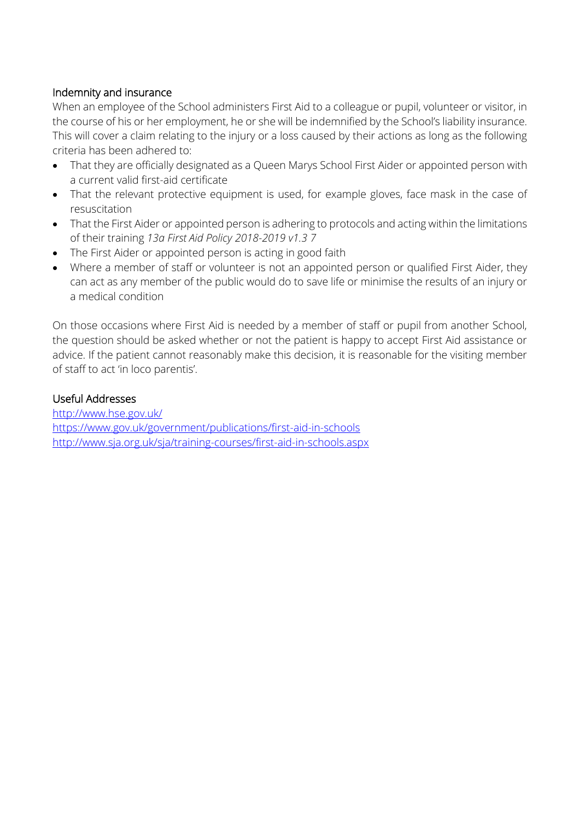# Indemnity and insurance

When an employee of the School administers First Aid to a colleague or pupil, volunteer or visitor, in the course of his or her employment, he or she will be indemnified by the School's liability insurance. This will cover a claim relating to the injury or a loss caused by their actions as long as the following criteria has been adhered to:

- That they are officially designated as a Queen Marys School First Aider or appointed person with a current valid first-aid certificate
- That the relevant protective equipment is used, for example gloves, face mask in the case of resuscitation
- That the First Aider or appointed person is adhering to protocols and acting within the limitations of their training *13a First Aid Policy 2018-2019 v1.3 7*
- The First Aider or appointed person is acting in good faith
- Where a member of staff or volunteer is not an appointed person or qualified First Aider, they can act as any member of the public would do to save life or minimise the results of an injury or a medical condition

On those occasions where First Aid is needed by a member of staff or pupil from another School, the question should be asked whether or not the patient is happy to accept First Aid assistance or advice. If the patient cannot reasonably make this decision, it is reasonable for the visiting member of staff to act 'in loco parentis'.

# Useful Addresses

http://www.hse.gov.uk/ https://www.gov.uk/government/publications/first-aid-in-schools http://www.sja.org.uk/sja/training-courses/first-aid-in-schools.aspx